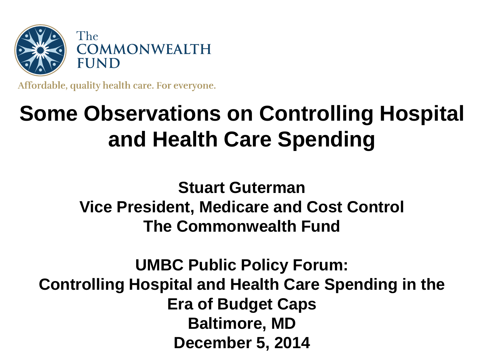

Affordable, quality health care. For everyone.

# **Some Observations on Controlling Hospital and Health Care Spending**

**Stuart Guterman Vice President, Medicare and Cost Control The Commonwealth Fund**

**UMBC Public Policy Forum: Controlling Hospital and Health Care Spending in the Era of Budget Caps Baltimore, MD December 5, 2014**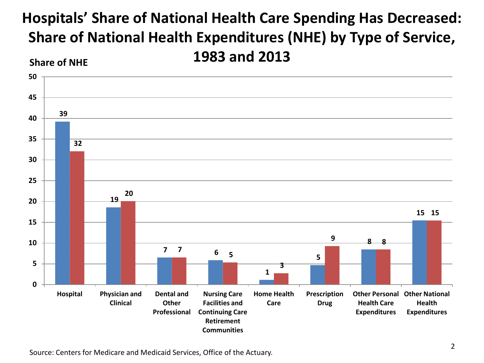#### **Hospitals' Share of National Health Care Spending Has Decreased: Share of National Health Expenditures (NHE) by Type of Service, 1983 and 2013 Share of NHE**



Source: Centers for Medicare and Medicaid Services, Office of the Actuary.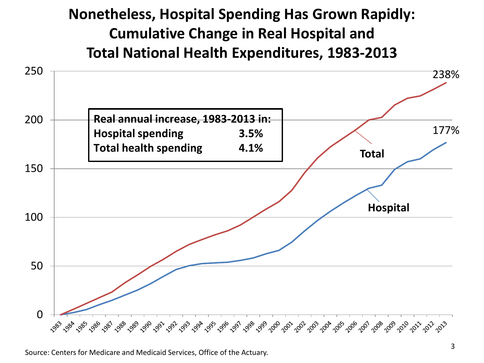#### **Nonetheless, Hospital Spending Has Grown Rapidly: Cumulative Change in Real Hospital and Total National Health Expenditures, 1983-2013**

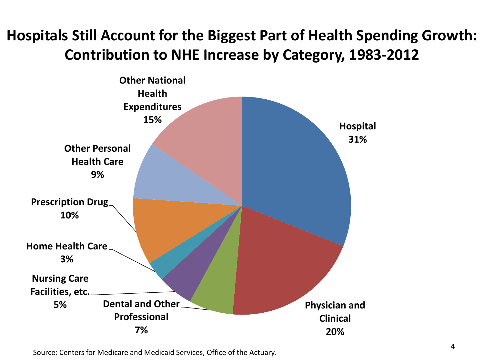# **Hospitals Still Account for the Biggest Part of Health Spending Growth: Contribution to NHE Increase by Category, 1983-2012**



Source: Centers for Medicare and Medicaid Services, Office of the Actuary.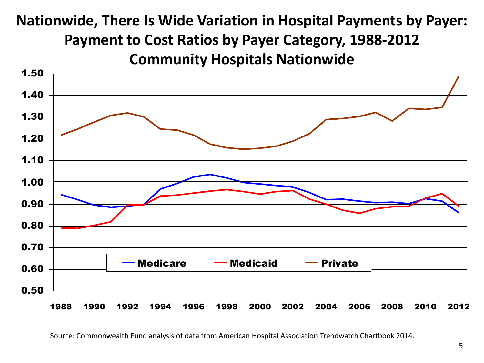# **Nationwide, There Is Wide Variation in Hospital Payments by Payer: Payment to Cost Ratios by Payer Category, 1988-2012 Community Hospitals Nationwide**



Source: Commonwealth Fund analysis of data from American Hospital Association Trendwatch Chartbook 2014.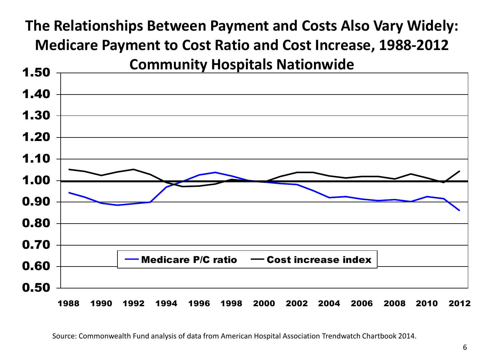### **The Relationships Between Payment and Costs Also Vary Widely: Medicare Payment to Cost Ratio and Cost Increase, 1988-2012 Community Hospitals Nationwide**



Source: Commonwealth Fund analysis of data from American Hospital Association Trendwatch Chartbook 2014.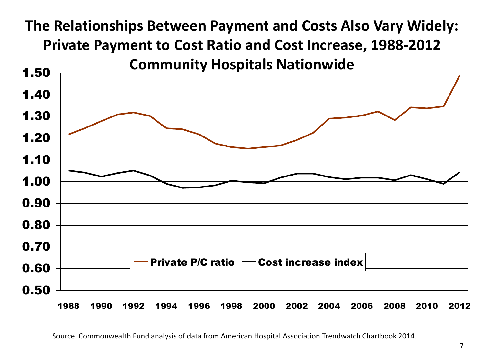### **The Relationships Between Payment and Costs Also Vary Widely: Private Payment to Cost Ratio and Cost Increase, 1988-2012 Community Hospitals Nationwide**



Source: Commonwealth Fund analysis of data from American Hospital Association Trendwatch Chartbook 2014.